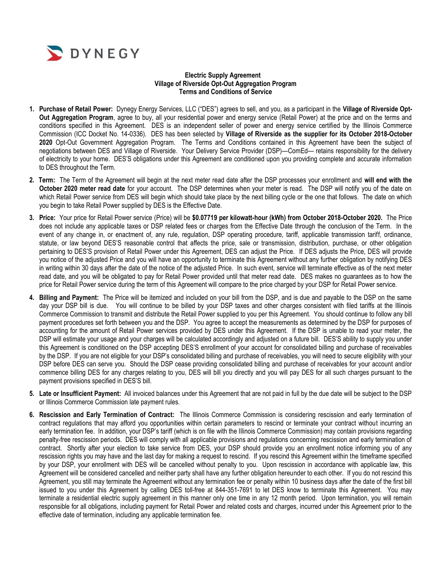

## **Electric Supply Agreement Village of Riverside Opt-Out Aggregation Program Terms and Conditions of Service**

- **1. Purchase of Retail Power:** Dynegy Energy Services, LLC ("DES") agrees to sell, and you, as a participant in the **Village of Riverside Opt-Out Aggregation Program**, agree to buy, all your residential power and energy service (Retail Power) at the price and on the terms and conditions specified in this Agreement. DES is an independent seller of power and energy service certified by the Illinois Commerce Commission (ICC Docket No. 14-0336). DES has been selected by **Village of Riverside as the supplier for its October 2018-October 2020** Opt-Out Government Aggregation Program. The Terms and Conditions contained in this Agreement have been the subject of negotiations between DES and Village of Riverside. Your Delivery Service Provider (DSP)—ComEd— retains responsibility for the delivery of electricity to your home. DES'S obligations under this Agreement are conditioned upon you providing complete and accurate information to DES throughout the Term.
- **2. Term:** The Term of the Agreement will begin at the next meter read date after the DSP processes your enrollment and **will end with the October 2020 meter read date** for your account. The DSP determines when your meter is read. The DSP will notify you of the date on which Retail Power service from DES will begin which should take place by the next billing cycle or the one that follows. The date on which you begin to take Retail Power supplied by DES is the Effective Date.
- **3. Price:** Your price for Retail Power service (Price) will be **\$0.07719 per kilowatt-hour (kWh) from October 2018-October 2020.** The Price does not include any applicable taxes or DSP related fees or charges from the Effective Date through the conclusion of the Term. In the event of any change in, or enactment of, any rule, regulation, DSP operating procedure, tariff, applicable transmission tariff, ordinance, statute, or law beyond DES'S reasonable control that affects the price, sale or transmission, distribution, purchase, or other obligation pertaining to DES'S provision of Retail Power under this Agreement, DES can adjust the Price. If DES adjusts the Price, DES will provide you notice of the adjusted Price and you will have an opportunity to terminate this Agreement without any further obligation by notifying DES in writing within 30 days after the date of the notice of the adjusted Price. In such event, service will terminate effective as of the next meter read date, and you will be obligated to pay for Retail Power provided until that meter read date. DES makes no guarantees as to how the price for Retail Power service during the term of this Agreement will compare to the price charged by your DSP for Retail Power service.
- **4. Billing and Payment:** The Price will be itemized and included on your bill from the DSP, and is due and payable to the DSP on the same day your DSP bill is due. You will continue to be billed by your DSP taxes and other charges consistent with filed tariffs at the Illinois Commerce Commission to transmit and distribute the Retail Power supplied to you per this Agreement. You should continue to follow any bill payment procedures set forth between you and the DSP. You agree to accept the measurements as determined by the DSP for purposes of accounting for the amount of Retail Power services provided by DES under this Agreement. If the DSP is unable to read your meter, the DSP will estimate your usage and your charges will be calculated accordingly and adjusted on a future bill. DES'S ability to supply you under this Agreement is conditioned on the DSP accepting DES'S enrollment of your account for consolidated billing and purchase of receivables by the DSP. If you are not eligible for your DSP's consolidated billing and purchase of receivables, you will need to secure eligibility with your DSP before DES can serve you. Should the DSP cease providing consolidated billing and purchase of receivables for your account and/or commence billing DES for any charges relating to you, DES will bill you directly and you will pay DES for all such charges pursuant to the payment provisions specified in DES'S bill.
- **5. Late or Insufficient Payment:** All invoiced balances under this Agreement that are not paid in full by the due date will be subject to the DSP or Illinois Commerce Commission late payment rules.
- **6. Rescission and Early Termination of Contract:** The Illinois Commerce Commission is considering rescission and early termination of contract regulations that may afford you opportunities within certain parameters to rescind or terminate your contract without incurring an early termination fee. In addition, your DSP's tariff (which is on file with the Illinois Commerce Commission) may contain provisions regarding penalty-free rescission periods. DES will comply with all applicable provisions and regulations concerning rescission and early termination of contract. Shortly after your election to take service from DES, your DSP should provide you an enrollment notice informing you of any rescission rights you may have and the last day for making a request to rescind. If you rescind this Agreement within the timeframe specified by your DSP, your enrollment with DES will be cancelled without penalty to you. Upon rescission in accordance with applicable law, this Agreement will be considered cancelled and neither party shall have any further obligation hereunder to each other. If you do not rescind this Agreement, you still may terminate the Agreement without any termination fee or penalty within 10 business days after the date of the first bill issued to you under this Agreement by calling DES toll-free at 844-351-7691 to let DES know to terminate this Agreement. You may terminate a residential electric supply agreement in this manner only one time in any 12 month period. Upon termination, you will remain responsible for all obligations, including payment for Retail Power and related costs and charges, incurred under this Agreement prior to the effective date of termination, including any applicable termination fee.